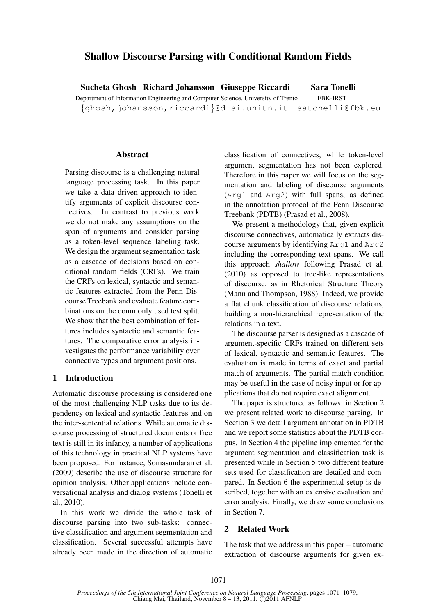# Shallow Discourse Parsing with Conditional Random Fields

Sucheta Ghosh Richard Johansson Giuseppe Riccardi Sara Tonelli Department of Information Engineering and Computer Science, University of Trento FBK-IRST {ghosh,johansson,riccardi}@disi.unitn.it satonelli@fbk.eu

#### **Abstract**

Parsing discourse is a challenging natural language processing task. In this paper we take a data driven approach to identify arguments of explicit discourse connectives. In contrast to previous work we do not make any assumptions on the span of arguments and consider parsing as a token-level sequence labeling task. We design the argument segmentation task as a cascade of decisions based on conditional random fields (CRFs). We train the CRFs on lexical, syntactic and semantic features extracted from the Penn Discourse Treebank and evaluate feature combinations on the commonly used test split. We show that the best combination of features includes syntactic and semantic features. The comparative error analysis investigates the performance variability over connective types and argument positions.

### 1 Introduction

Automatic discourse processing is considered one of the most challenging NLP tasks due to its dependency on lexical and syntactic features and on the inter-sentential relations. While automatic discourse processing of structured documents or free text is still in its infancy, a number of applications of this technology in practical NLP systems have been proposed. For instance, Somasundaran et al. (2009) describe the use of discourse structure for opinion analysis. Other applications include conversational analysis and dialog systems (Tonelli et al., 2010).

In this work we divide the whole task of discourse parsing into two sub-tasks: connective classification and argument segmentation and classification. Several successful attempts have already been made in the direction of automatic classification of connectives, while token-level argument segmentation has not been explored. Therefore in this paper we will focus on the segmentation and labeling of discourse arguments (Arg1 and Arg2) with full spans, as defined in the annotation protocol of the Penn Discourse Treebank (PDTB) (Prasad et al., 2008).

We present a methodology that, given explicit discourse connectives, automatically extracts discourse arguments by identifying Arg1 and Arg2 including the corresponding text spans. We call this approach *shallow* following Prasad et al. (2010) as opposed to tree-like representations of discourse, as in Rhetorical Structure Theory (Mann and Thompson, 1988). Indeed, we provide a flat chunk classification of discourse relations, building a non-hierarchical representation of the relations in a text.

The discourse parser is designed as a cascade of argument-specific CRFs trained on different sets of lexical, syntactic and semantic features. The evaluation is made in terms of exact and partial match of arguments. The partial match condition may be useful in the case of noisy input or for applications that do not require exact alignment.

The paper is structured as follows: in Section 2 we present related work to discourse parsing. In Section 3 we detail argument annotation in PDTB and we report some statistics about the PDTB corpus. In Section 4 the pipeline implemented for the argument segmentation and classification task is presented while in Section 5 two different feature sets used for classification are detailed and compared. In Section 6 the experimental setup is described, together with an extensive evaluation and error analysis. Finally, we draw some conclusions in Section 7.

# 2 Related Work

The task that we address in this paper – automatic extraction of discourse arguments for given ex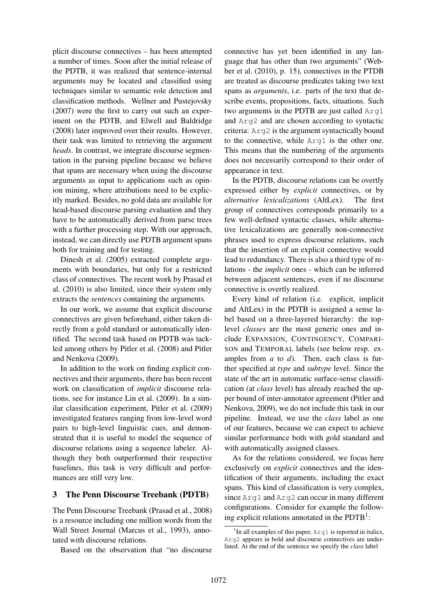plicit discourse connectives – has been attempted a number of times. Soon after the initial release of the PDTB, it was realized that sentence-internal arguments may be located and classified using techniques similar to semantic role detection and classification methods. Wellner and Pustejovsky (2007) were the first to carry out such an experiment on the PDTB, and Elwell and Baldridge (2008) later improved over their results. However, their task was limited to retrieving the argument *heads*. In contrast, we integrate discourse segmentation in the parsing pipeline because we believe that spans are necessary when using the discourse arguments as input to applications such as opinion mining, where attributions need to be explicitly marked. Besides, no gold data are available for head-based discourse parsing evaluation and they have to be automatically derived from parse trees with a further processing step. With our approach, instead, we can directly use PDTB argument spans both for training and for testing.

Dinesh et al. (2005) extracted complete arguments with boundaries, but only for a restricted class of connectives. The recent work by Prasad et al. (2010) is also limited, since their system only extracts the *sentences* containing the arguments.

In our work, we assume that explicit discourse connectives are given beforehand, either taken directly from a gold standard or automatically identified. The second task based on PDTB was tackled among others by Pitler et al. (2008) and Pitler and Nenkova (2009).

In addition to the work on finding explicit connectives and their arguments, there has been recent work on classification of *implicit* discourse relations, see for instance Lin et al. (2009). In a similar classification experiment, Pitler et al. (2009) investigated features ranging from low-level word pairs to high-level linguistic cues, and demonstrated that it is useful to model the sequence of discourse relations using a sequence labeler. Although they both outperformed their respective baselines, this task is very difficult and performances are still very low.

### 3 The Penn Discourse Treebank (PDTB)

The Penn Discourse Treebank (Prasad et al., 2008) is a resource including one million words from the Wall Street Journal (Marcus et al., 1993), annotated with discourse relations.

Based on the observation that "no discourse

connective has yet been identified in any language that has other than two arguments" (Webber et al. (2010), p. 15), connectives in the PTDB are treated as discourse predicates taking two text spans as *arguments*, i.e. parts of the text that describe events, propositions, facts, situations. Such two arguments in the PDTB are just called Arg1 and Arg2 and are chosen according to syntactic criteria: Arg2 is the argument syntactically bound to the connective, while Arg1 is the other one. This means that the numbering of the arguments does not necessarily correspond to their order of appearance in text.

In the PDTB, discourse relations can be overtly expressed either by *explicit* connectives, or by *alternative lexicalizations* (AltLex). The first group of connectives corresponds primarily to a few well-defined syntactic classes, while alternative lexicalizations are generally non-connective phrases used to express discourse relations, such that the insertion of an explicit connective would lead to redundancy. There is also a third type of relations - the *implicit* ones - which can be inferred between adjacent sentences, even if no discourse connective is overtly realized.

Every kind of relation (i.e. explicit, implicit and AltLex) in the PDTB is assigned a sense label based on a three-layered hierarchy: the toplevel *classes* are the most generic ones and include EXPANSION, CONTINGENCY, COMPARI-SON and TEMPORAL labels (see below resp. examples from *a* to *d*). Then, each class is further specified at *type* and *subtype* level. Since the state of the art in automatic surface-sense classification (at *class* level) has already reached the upper bound of inter-annotator agreement (Pitler and Nenkova, 2009), we do not include this task in our pipeline. Instead, we use the *class* label as one of our features, because we can expect to achieve similar performance both with gold standard and with automatically assigned classes.

As for the relations considered, we focus here exclusively on *explicit* connectives and the identification of their arguments, including the exact spans. This kind of classification is very complex, since Arg1 and Arg2 can occur in many different configurations. Consider for example the following explicit relations annotated in the  $PDTB<sup>1</sup>$ :

<sup>&</sup>lt;sup>1</sup>In all examples of this paper, Arg1 is reported in italics, Arg2 appears in bold and discourse connectives are underlined. At the end of the sentence we specify the *class* label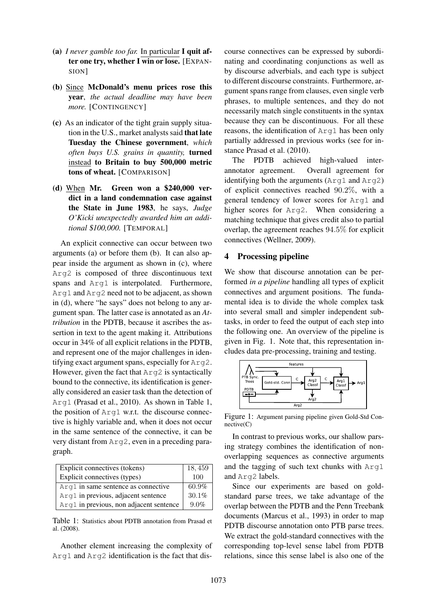- (a) *I never gamble too far.* In particular I quit after one try, whether  $\overline{I}$  win or lose. [EXPAN-SION]
- (b) Since McDonald's menu prices rose this year, *the actual deadline may have been more.* [CONTINGENCY]
- (c) As an indicator of the tight grain supply situation in the U.S., market analysts said that late Tuesday the Chinese government, *which often buys U.S. grains in quantity,* turned instead to Britain to buy 500,000 metric tons of wheat. [COMPARISON]
- (d) When Mr. Green won a \$240,000 verdict in a land condemnation case against the State in June 1983, he says, *Judge O'Kicki unexpectedly awarded him an additional* \$*100,000.* [TEMPORAL]

An explicit connective can occur between two arguments (a) or before them (b). It can also appear inside the argument as shown in (c), where Arg2 is composed of three discontinuous text spans and Arg1 is interpolated. Furthermore, Arg1 and Arg2 need not to be adjacent, as shown in (d), where "he says" does not belong to any argument span. The latter case is annotated as an *Attribution* in the PDTB, because it ascribes the assertion in text to the agent making it. Attributions occur in 34% of all explicit relations in the PDTB, and represent one of the major challenges in identifying exact argument spans, especially for Arg2. However, given the fact that Arg2 is syntactically bound to the connective, its identification is generally considered an easier task than the detection of Arg1 (Prasad et al., 2010). As shown in Table 1, the position of Arg1 w.r.t. the discourse connective is highly variable and, when it does not occur in the same sentence of the connective, it can be very distant from Arg2, even in a preceding paragraph.

| Explicit connectives (tokens)           | 18,459   |
|-----------------------------------------|----------|
| Explicit connectives (types)            | 100      |
| Arg1 in same sentence as connective     | $60.9\%$ |
| Arg1 in previous, adjacent sentence     | 30.1%    |
| Arg1 in previous, non adjacent sentence | 9.0%     |

Table 1: Statistics about PDTB annotation from Prasad et al. (2008).

Another element increasing the complexity of Arg1 and Arg2 identification is the fact that dis-

course connectives can be expressed by subordinating and coordinating conjunctions as well as by discourse adverbials, and each type is subject to different discourse constraints. Furthermore, argument spans range from clauses, even single verb phrases, to multiple sentences, and they do not necessarily match single constituents in the syntax because they can be discontinuous. For all these reasons, the identification of Arg1 has been only partially addressed in previous works (see for instance Prasad et al. (2010).

The PDTB achieved high-valued interannotator agreement. Overall agreement for identifying both the arguments (Arg1 and Arg2) of explicit connectives reached 90.2%, with a general tendency of lower scores for Arg1 and higher scores for Arg2. When considering a matching technique that gives credit also to partial overlap, the agreement reaches 94.5% for explicit connectives (Wellner, 2009).

### 4 Processing pipeline

We show that discourse annotation can be performed *in a pipeline* handling all types of explicit connectives and argument positions. The fundamental idea is to divide the whole complex task into several small and simpler independent subtasks, in order to feed the output of each step into the following one. An overview of the pipeline is given in Fig. 1. Note that, this representation includes data pre-processing, training and testing.



Figure 1: Argument parsing pipeline given Gold-Std Connective(C)

In contrast to previous works, our shallow parsing strategy combines the identification of nonoverlapping sequences as connective arguments and the tagging of such text chunks with Arg1 and Arg2 labels.

Since our experiments are based on goldstandard parse trees, we take advantage of the overlap between the PDTB and the Penn Treebank documents (Marcus et al., 1993) in order to map PDTB discourse annotation onto PTB parse trees. We extract the gold-standard connectives with the corresponding top-level sense label from PDTB relations, since this sense label is also one of the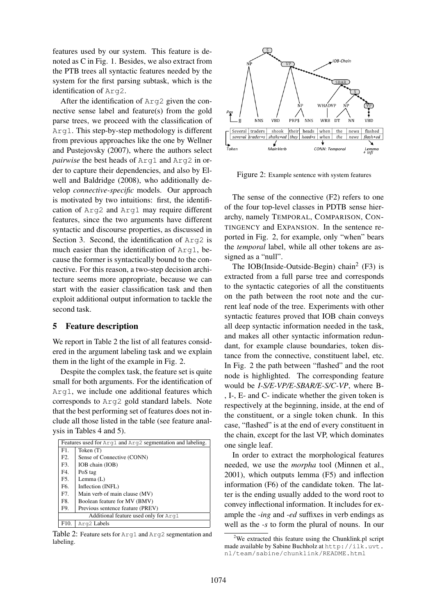features used by our system. This feature is denoted as C in Fig. 1. Besides, we also extract from the PTB trees all syntactic features needed by the system for the first parsing subtask, which is the identification of Arg2.

After the identification of Arg2 given the connective sense label and feature(s) from the gold parse trees, we proceed with the classification of Arg1. This step-by-step methodology is different from previous approaches like the one by Wellner and Pustejovsky (2007), where the authors select *pairwise* the best heads of Arg1 and Arg2 in order to capture their dependencies, and also by Elwell and Baldridge (2008), who additionally develop *connective-specific* models. Our approach is motivated by two intuitions: first, the identification of Arg2 and Arg1 may require different features, since the two arguments have different syntactic and discourse properties, as discussed in Section 3. Second, the identification of Arg2 is much easier than the identification of Arg1, because the former is syntactically bound to the connective. For this reason, a two-step decision architecture seems more appropriate, because we can start with the easier classification task and then exploit additional output information to tackle the second task.

### 5 Feature description

We report in Table 2 the list of all features considered in the argument labeling task and we explain them in the light of the example in Fig. 2.

Despite the complex task, the feature set is quite small for both arguments. For the identification of Arg1, we include one additional features which corresponds to Arg2 gold standard labels. Note that the best performing set of features does not include all those listed in the table (see feature analysis in Tables 4 and 5).

| Features used for Arg1 and Arg2 segmentation and labeling. |                                  |  |  |  |
|------------------------------------------------------------|----------------------------------|--|--|--|
| F1.                                                        | Token $(T)$                      |  |  |  |
| F2.                                                        | Sense of Connective (CONN)       |  |  |  |
| F3.                                                        | IOB chain (IOB)                  |  |  |  |
| F4.                                                        | PoS tag                          |  |  |  |
| F5.                                                        | Lemma $(L)$                      |  |  |  |
| F6.                                                        | Inflection (INFL)                |  |  |  |
| F7.                                                        | Main verb of main clause (MV)    |  |  |  |
| F8.                                                        | Boolean feature for MV (BMV)     |  |  |  |
| F9.                                                        | Previous sentence feature (PREV) |  |  |  |
| Additional feature used only for Arq1                      |                                  |  |  |  |
| F <sub>10</sub> .                                          | Arg2 Labels                      |  |  |  |

Table 2: Feature sets for Arg1 and Arg2 segmentation and labeling.



Figure 2: Example sentence with system features

The sense of the connective (F2) refers to one of the four top-level classes in PDTB sense hierarchy, namely TEMPORAL, COMPARISON, CON-TINGENCY and EXPANSION. In the sentence reported in Fig. 2, for example, only "when" bears the *temporal* label, while all other tokens are assigned as a "null".

The IOB(Inside-Outside-Begin) chain<sup>2</sup> (F3) is extracted from a full parse tree and corresponds to the syntactic categories of all the constituents on the path between the root note and the current leaf node of the tree. Experiments with other syntactic features proved that IOB chain conveys all deep syntactic information needed in the task, and makes all other syntactic information redundant, for example clause boundaries, token distance from the connective, constituent label, etc. In Fig. 2 the path between "flashed" and the root node is highlighted. The corresponding feature would be *I-S/E-VP/E-SBAR/E-S/C-VP*, where B- , I-, E- and C- indicate whether the given token is respectively at the beginning, inside, at the end of the constituent, or a single token chunk. In this case, "flashed" is at the end of every constituent in the chain, except for the last VP, which dominates one single leaf.

In order to extract the morphological features needed, we use the *morpha* tool (Minnen et al., 2001), which outputs lemma (F5) and inflection information (F6) of the candidate token. The latter is the ending usually added to the word root to convey inflectional information. It includes for example the *-ing* and *-ed* suffixes in verb endings as well as the *-s* to form the plural of nouns. In our

<sup>&</sup>lt;sup>2</sup>We extracted this feature using the Chunklink.pl script made available by Sabine Buchholz at http://ilk.uvt. nl/team/sabine/chunklink/README.html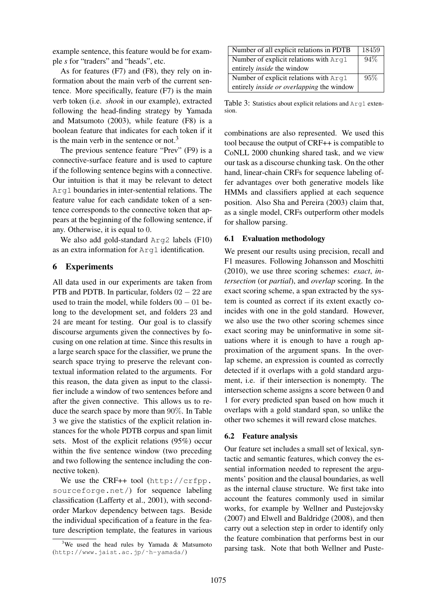example sentence, this feature would be for example *s* for "traders" and "heads", etc.

As for features (F7) and (F8), they rely on information about the main verb of the current sentence. More specifically, feature (F7) is the main verb token (i.e. *shook* in our example), extracted following the head-finding strategy by Yamada and Matsumoto (2003), while feature (F8) is a boolean feature that indicates for each token if it is the main verb in the sentence or not.<sup>3</sup>

The previous sentence feature "Prev" (F9) is a connective-surface feature and is used to capture if the following sentence begins with a connective. Our intuition is that it may be relevant to detect Arg1 boundaries in inter-sentential relations. The feature value for each candidate token of a sentence corresponds to the connective token that appears at the beginning of the following sentence, if any. Otherwise, it is equal to 0.

We also add gold-standard Arg2 labels (F10) as an extra information for Arg1 identification.

### 6 Experiments

All data used in our experiments are taken from PTB and PDTB. In particular, folders  $02 - 22$  are used to train the model, while folders  $00 - 01$  belong to the development set, and folders 23 and 24 are meant for testing. Our goal is to classify discourse arguments given the connectives by focusing on one relation at time. Since this results in a large search space for the classifier, we prune the search space trying to preserve the relevant contextual information related to the arguments. For this reason, the data given as input to the classifier include a window of two sentences before and after the given connective. This allows us to reduce the search space by more than 90%. In Table 3 we give the statistics of the explicit relation instances for the whole PDTB corpus and span limit sets. Most of the explicit relations (95%) occur within the five sentence window (two preceding and two following the sentence including the connective token).

We use the CRF++ tool (http://crfpp. sourceforge.net/) for sequence labeling classification (Lafferty et al., 2001), with secondorder Markov dependency between tags. Beside the individual specification of a feature in the feature description template, the features in various

| Number of all explicit relations in PDTB         | 18459 |
|--------------------------------------------------|-------|
| Number of explicit relations with Arg1           | 94%   |
| entirely <i>inside</i> the window                |       |
| Number of explicit relations with Arq1           | 95%   |
| entirely <i>inside or overlapping</i> the window |       |

Table 3: Statistics about explicit relations and Arg1 extension.

combinations are also represented. We used this tool because the output of CRF++ is compatible to CoNLL 2000 chunking shared task, and we view our task as a discourse chunking task. On the other hand, linear-chain CRFs for sequence labeling offer advantages over both generative models like HMMs and classifiers applied at each sequence position. Also Sha and Pereira (2003) claim that, as a single model, CRFs outperform other models for shallow parsing.

# 6.1 Evaluation methodology

We present our results using precision, recall and F1 measures. Following Johansson and Moschitti (2010), we use three scoring schemes: *exact*, *intersection* (or *partial*), and *overlap* scoring. In the exact scoring scheme, a span extracted by the system is counted as correct if its extent exactly coincides with one in the gold standard. However, we also use the two other scoring schemes since exact scoring may be uninformative in some situations where it is enough to have a rough approximation of the argument spans. In the overlap scheme, an expression is counted as correctly detected if it overlaps with a gold standard argument, i.e. if their intersection is nonempty. The intersection scheme assigns a score between 0 and 1 for every predicted span based on how much it overlaps with a gold standard span, so unlike the other two schemes it will reward close matches.

### 6.2 Feature analysis

Our feature set includes a small set of lexical, syntactic and semantic features, which convey the essential information needed to represent the arguments' position and the clausal boundaries, as well as the internal clause structure. We first take into account the features commonly used in similar works, for example by Wellner and Pustejovsky (2007) and Elwell and Baldridge (2008), and then carry out a selection step in order to identify only the feature combination that performs best in our parsing task. Note that both Wellner and Puste-

<sup>&</sup>lt;sup>3</sup>We used the head rules by Yamada  $\&$  Matsumoto (http://www.jaist.ac.jp/˜h-yamada/)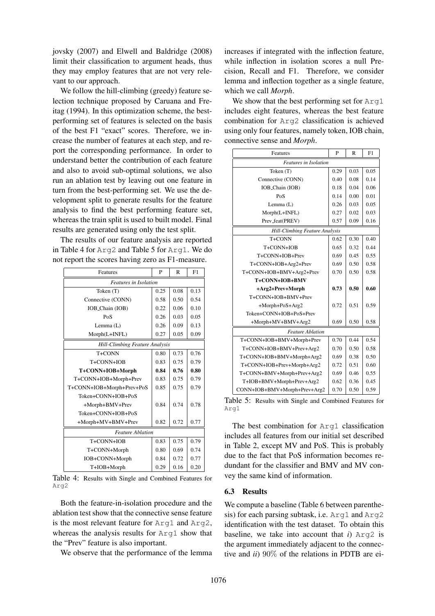jovsky (2007) and Elwell and Baldridge (2008) limit their classification to argument heads, thus they may employ features that are not very relevant to our approach.

We follow the hill-climbing (greedy) feature selection technique proposed by Caruana and Freitag (1994). In this optimization scheme, the bestperforming set of features is selected on the basis of the best F1 "exact" scores. Therefore, we increase the number of features at each step, and report the corresponding performance. In order to understand better the contribution of each feature and also to avoid sub-optimal solutions, we also run an ablation test by leaving out one feature in turn from the best-performing set. We use the development split to generate results for the feature analysis to find the best performing feature set, whereas the train split is used to built model. Final results are generated using only the test split.

The results of our feature analysis are reported in Table 4 for Arg2 and Table 5 for Arg1. We do not report the scores having zero as F1-measure.

| Features                              | P    | R    | F1   |  |
|---------------------------------------|------|------|------|--|
| <b>Features</b> in Isolation          |      |      |      |  |
| Token $(T)$                           | 0.25 | 0.08 | 0.13 |  |
| Connective (CONN)                     | 0.58 | 0.50 | 0.54 |  |
| IOB_Chain (IOB)                       | 0.22 | 0.06 | 0.10 |  |
| PoS                                   | 0.26 | 0.03 | 0.05 |  |
| Lemma $(L)$                           | 0.26 | 0.09 | 0.13 |  |
| Morph(L+INFL)                         | 0.27 | 0.05 | 0.09 |  |
| <b>Hill-Climbing Feature Analysis</b> |      |      |      |  |
| T+CONN                                | 0.80 | 0.73 | 0.76 |  |
| T+CONN+IOB                            | 0.83 | 0.75 | 0.79 |  |
| T+CONN+IOB+Morph                      | 0.84 | 0.76 | 0.80 |  |
| T+CONN+IOB+Morph+Prev                 | 0.83 | 0.75 | 0.79 |  |
| T+CONN+IOB+Morph+Prev+PoS             | 0.85 | 0.75 | 0.79 |  |
| Token+CONN+IOB+PoS                    |      |      |      |  |
| +Morph+BMV+Prev                       | 0.84 | 0.74 | 0.78 |  |
| Token+CONN+IOB+PoS                    |      |      |      |  |
| +Morph+MV+BMV+Prev                    | 0.82 | 0.72 | 0.77 |  |
| <b>Feature Ablation</b>               |      |      |      |  |
| $T + CONN + IOB$                      | 0.83 | 0.75 | 0.79 |  |
| T+CONN+Morph                          | 0.80 | 0.69 | 0.74 |  |
| IOB+CONN+Morph                        | 0.84 | 0.72 | 0.77 |  |
| T+IOB+Morph                           | 0.29 | 0.16 | 0.20 |  |

Table 4: Results with Single and Combined Features for Arg2

Both the feature-in-isolation procedure and the ablation test show that the connective sense feature is the most relevant feature for Arg1 and Arg2, whereas the analysis results for  $A_{r}$  and show that the "Prev" feature is also important.

We observe that the performance of the lemma

increases if integrated with the inflection feature, while inflection in isolation scores a null Precision, Recall and F1. Therefore, we consider lemma and inflection together as a single feature, which we call *Morph*.

We show that the best performing set for  $Arg1$ includes eight features, whereas the best feature combination for Arg2 classification is achieved using only four features, namely token, IOB chain, connective sense and *Morph*.

| Features                              | P    | $\mathbb{R}$ | F1   |  |  |
|---------------------------------------|------|--------------|------|--|--|
| <b>Features</b> in Isolation          |      |              |      |  |  |
| Token $(T)$                           | 0.29 | 0.03         | 0.05 |  |  |
| Connective (CONN)                     | 0.40 | 0.08         | 0.14 |  |  |
| IOB_Chain (IOB)                       | 0.18 | 0.04         | 0.06 |  |  |
| PoS                                   | 0.14 | 0.00         | 0.01 |  |  |
| Lemma (L)                             | 0.26 | 0.03         | 0.05 |  |  |
| Morph(L+INFL)                         | 0.27 | 0.02         | 0.03 |  |  |
| Prev_feat(PREV)                       | 0.57 | 0.09         | 0.16 |  |  |
| <b>Hill-Climbing Feature Analysis</b> |      |              |      |  |  |
| T <sub>+CONN</sub>                    | 0.62 | 0.30         | 0.40 |  |  |
| T+CONN+IOB                            | 0.65 | 0.32         | 0.44 |  |  |
| T+CONN+IOB+Prev                       | 0.69 | 0.45         | 0.55 |  |  |
| T+CONN+IOB+Arg2+Prev                  | 0.69 | 0.50         | 0.58 |  |  |
| T+CONN+IOB+BMV+Arg2+Prev              |      | 0.50         | 0.58 |  |  |
| T+CONN+IOB+BMV                        |      |              |      |  |  |
| +Arg2+Prev+Morph                      |      | 0.50         | 0.60 |  |  |
| T+CONN+IOB+BMV+Prev                   |      |              |      |  |  |
| +Morph+PoS+Arg2                       | 0.72 | 0.51         | 0.59 |  |  |
| Token+CONN+IOB+PoS+Prev               |      |              |      |  |  |
| +Morph+MV+BMV+Arg2                    | 0.69 | 0.50         | 0.58 |  |  |
| <b>Feature Ablation</b>               |      |              |      |  |  |
| T+CONN+IOB+BMV+Morph+Prev             | 0.70 | 0.44         | 0.54 |  |  |
| T+CONN+IOB+BMV+Prev+Arg2              | 0.70 | 0.50         | 0.58 |  |  |
| T+CONN+IOB+BMV+Morph+Arg2             | 0.69 | 0.38         | 0.50 |  |  |
| T+CONN+IOB+Prev+Morph+Arg2            | 0.72 | 0.51         | 0.60 |  |  |
| T+CONN+BMV+Morph+Prev+Arg2            | 0.69 | 0.46         | 0.55 |  |  |
| T+IOB+BMV+Morph+Prev+Arg2             | 0.62 | 0.36         | 0.45 |  |  |
| CONN+IOB+BMV+Morph+Prev+Arg2          | 0.70 | 0.50         | 0.59 |  |  |

Table 5: Results with Single and Combined Features for Arg1

The best combination for Arg1 classification includes all features from our initial set described in Table 2, except MV and PoS. This is probably due to the fact that PoS information becomes redundant for the classifier and BMV and MV convey the same kind of information.

### 6.3 Results

We compute a baseline (Table 6 between parenthesis) for each parsing subtask, i.e. Arg1 and Arg2 identification with the test dataset. To obtain this baseline, we take into account that *i*) Arg2 is the argument immediately adjacent to the connective and *ii*) 90% of the relations in PDTB are ei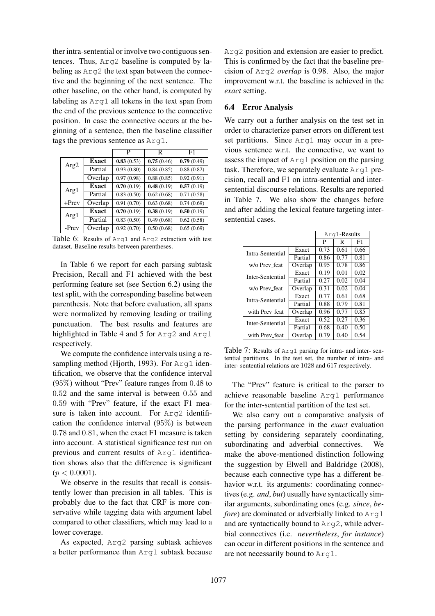ther intra-sentential or involve two contiguous sentences. Thus, Arg2 baseline is computed by labeling as Arg2 the text span between the connective and the beginning of the next sentence. The other baseline, on the other hand, is computed by labeling as Arg1 all tokens in the text span from the end of the previous sentence to the connective position. In case the connective occurs at the beginning of a sentence, then the baseline classifier tags the previous sentence as Arg1.

|                  |              | P          | R          | F1         |
|------------------|--------------|------------|------------|------------|
| Arg <sub>2</sub> | <b>Exact</b> | 0.83(0.53) | 0.75(0.46) | 0.79(0.49) |
|                  | Partial      | 0.93(0.80) | 0.84(0.85) | 0.88(0.82) |
|                  | Overlap      | 0.97(0.98) | 0.88(0.85) | 0.92(0.91) |
| Arg1             | Exact        | 0.70(0.19) | 0.48(0.19) | 0.57(0.19) |
|                  | Partial      | 0.83(0.50) | 0.62(0.68) | 0.71(0.58) |
| $+$ Prev         | Overlap      | 0.91(0.70) | 0.63(0.68) | 0.74(0.69) |
| Arg1             | Exact        | 0.70(0.19) | 0.38(0.19) | 0.50(0.19) |
|                  | Partial      | 0.83(0.50) | 0.49(0.68) | 0.62(0.58) |
| -Prev            | Overlap      | 0.92(0.70) | 0.50(0.68) | 0.65(0.69) |

Table 6: Results of Arg1 and Arg2 extraction with test dataset. Baseline results between parentheses.

In Table 6 we report for each parsing subtask Precision, Recall and F1 achieved with the best performing feature set (see Section 6.2) using the test split, with the corresponding baseline between parenthesis. Note that before evaluation, all spans were normalized by removing leading or trailing punctuation. The best results and features are highlighted in Table 4 and 5 for Arg2 and Arg1 respectively.

We compute the confidence intervals using a resampling method (Hjorth, 1993). For Arg1 identification, we observe that the confidence interval (95%) without "Prev" feature ranges from 0.48 to 0.52 and the same interval is between 0.55 and 0.59 with "Prev" feature, if the exact F1 measure is taken into account. For Arg2 identification the confidence interval (95%) is between 0.78 and 0.81, when the exact F1 measure is taken into account. A statistical significance test run on previous and current results of Arg1 identification shows also that the difference is significant  $(p < 0.0001)$ .

We observe in the results that recall is consistently lower than precision in all tables. This is probably due to the fact that CRF is more conservative while tagging data with argument label compared to other classifiers, which may lead to a lower coverage.

As expected, Arg2 parsing subtask achieves a better performance than Arg1 subtask because Arg2 position and extension are easier to predict. This is confirmed by the fact that the baseline precision of Arg2 *overlap* is 0.98. Also, the major improvement w.r.t. the baseline is achieved in the *exact* setting.

## 6.4 Error Analysis

We carry out a further analysis on the test set in order to characterize parser errors on different test set partitions. Since Arg1 may occur in a previous sentence w.r.t. the connective, we want to assess the impact of Arg1 position on the parsing task. Therefore, we separately evaluate Arg1 precision, recall and F1 on intra-sentential and intersentential discourse relations. Results are reported in Table 7. We also show the changes before and after adding the lexical feature targeting intersentential cases.

|                  |         | Arg1-Results |      |      |
|------------------|---------|--------------|------|------|
|                  |         | P            | R    | F1   |
| Intra-Sentential | Exact   | 0.73         | 0.61 | 0.66 |
|                  | Partial | 0.86         | 0.77 | 0.81 |
| w/o Prev_feat    | Overlap | 0.95         | 0.78 | 0.86 |
| Inter-Sentential | Exact   | 0.19         | 0.01 | 0.02 |
|                  | Partial | 0.27         | 0.02 | 0.04 |
| w/o Prev_feat    | Overlap | 0.31         | 0.02 | 0.04 |
| Intra-Sentential | Exact   | 0.77         | 0.61 | 0.68 |
|                  | Partial | 0.88         | 0.79 | 0.81 |
| with Prev_feat   | Overlap | 0.96         | 0.77 | 0.85 |
| Inter-Sentential | Exact   | 0.52         | 0.27 | 0.36 |
|                  | Partial | 0.68         | 0.40 | 0.50 |
| with Prev_feat   | Overlap | 0.79         | 0.40 | 0.54 |

Table 7: Results of Arg1 parsing for intra- and inter- sentential partitions. In the test set, the number of intra- and inter- sentential relations are 1028 and 617 respectively.

The "Prev" feature is critical to the parser to achieve reasonable baseline Arg1 performance for the inter-sentential partition of the test set.

We also carry out a comparative analysis of the parsing performance in the *exact* evaluation setting by considering separately coordinating, subordinating and adverbial connectives. We make the above-mentioned distinction following the suggestion by Elwell and Baldridge (2008), because each connective type has a different behavior w.r.t. its arguments: coordinating connectives (e.g. *and*, *but*) usually have syntactically similar arguments, subordinating ones (e.g. *since*, *before*) are dominated or adverbially linked to Arg1 and are syntactically bound to Arg2, while adverbial connectives (i.e. *nevertheless*, *for instance*) can occur in different positions in the sentence and are not necessarily bound to Arg1.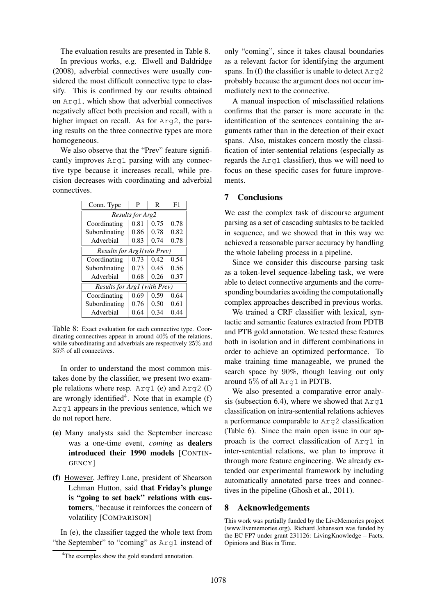The evaluation results are presented in Table 8.

In previous works, e.g. Elwell and Baldridge (2008), adverbial connectives were usually considered the most difficult connective type to classify. This is confirmed by our results obtained on Arg1, which show that adverbial connectives negatively affect both precision and recall, with a higher impact on recall. As for  $Arg2$ , the parsing results on the three connective types are more homogeneous.

We also observe that the "Prev" feature significantly improves Arg1 parsing with any connective type because it increases recall, while precision decreases with coordinating and adverbial connectives.

| Conn. Type                          | P    | R    | F <sub>1</sub> |  |  |
|-------------------------------------|------|------|----------------|--|--|
| Results for Arg2                    |      |      |                |  |  |
| Coordinating                        | 0.81 | 0.75 | 0.78           |  |  |
| Subordinating                       | 0.86 | 0.78 | 0.82           |  |  |
| Adverbial                           | 0.83 | 0.74 | 0.78           |  |  |
| Results for Arg1(w/o Prev)          |      |      |                |  |  |
| Coordinating                        | 0.73 | 0.42 | 0.54           |  |  |
| Subordinating                       | 0.73 | 0.45 | 0.56           |  |  |
| Adverbial                           | 0.68 | 0.26 | 0.37           |  |  |
| <b>Results for Arg1 (with Prev)</b> |      |      |                |  |  |
| Coordinating                        | 0.69 | 0.59 | 0.64           |  |  |
| Subordinating                       | 0.76 | 0.50 | 0.61           |  |  |
| Adverbial                           | 0.64 | 0.34 | 0.44           |  |  |

Table 8: Exact evaluation for each connective type. Coordinating connectives appear in around 40% of the relations, while subordinating and adverbials are respectively 25% and 35% of all connectives.

In order to understand the most common mistakes done by the classifier, we present two example relations where resp. Arg1 (e) and Arg2 (f) are wrongly identified<sup>4</sup>. Note that in example  $(f)$ Arg1 appears in the previous sentence, which we do not report here.

- (e) Many analysts said the September increase was a one-time event, *coming* as dealers introduced their 1990 models [CONTIN-GENCY]
- (f) However, Jeffrey Lane, president of Shearson Lehman Hutton, said that Friday's plunge is "going to set back" relations with customers, "because it reinforces the concern of volatility [COMPARISON]

In (e), the classifier tagged the whole text from "the September" to "coming" as Arg1 instead of only "coming", since it takes clausal boundaries as a relevant factor for identifying the argument spans. In (f) the classifier is unable to detect  $Arg2$ probably because the argument does not occur immediately next to the connective.

A manual inspection of misclassified relations confirms that the parser is more accurate in the identification of the sentences containing the arguments rather than in the detection of their exact spans. Also, mistakes concern mostly the classification of inter-sentential relations (especially as regards the Arg1 classifier), thus we will need to focus on these specific cases for future improvements.

## 7 Conclusions

We cast the complex task of discourse argument parsing as a set of cascading subtasks to be tackled in sequence, and we showed that in this way we achieved a reasonable parser accuracy by handling the whole labeling process in a pipeline.

Since we consider this discourse parsing task as a token-level sequence-labeling task, we were able to detect connective arguments and the corresponding boundaries avoiding the computationally complex approaches described in previous works.

We trained a CRF classifier with lexical, syntactic and semantic features extracted from PDTB and PTB gold annotation. We tested these features both in isolation and in different combinations in order to achieve an optimized performance. To make training time manageable, we pruned the search space by 90%, though leaving out only around 5% of all Arg1 in PDTB.

We also presented a comparative error analysis (subsection 6.4), where we showed that  $Arg1$ classification on intra-sentential relations achieves a performance comparable to Arg2 classification (Table 6). Since the main open issue in our approach is the correct classification of Arg1 in inter-sentential relations, we plan to improve it through more feature engineering. We already extended our experimental framework by including automatically annotated parse trees and connectives in the pipeline (Ghosh et al., 2011).

### 8 Acknowledgements

This work was partially funded by the LiveMemories project (www.livememories.org). Richard Johansson was funded by the EC FP7 under grant 231126: LivingKnowledge – Facts, Opinions and Bias in Time.

<sup>&</sup>lt;sup>4</sup>The examples show the gold standard annotation.